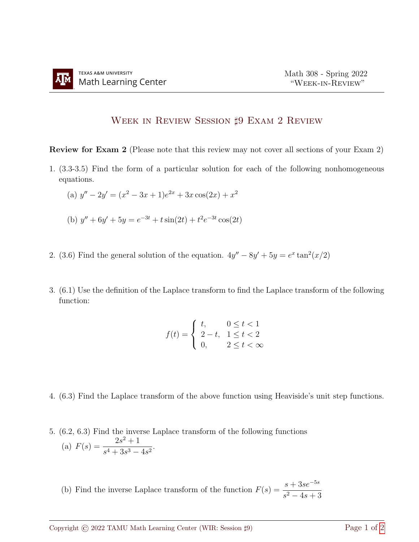## WEEK IN REVIEW SESSION  $\sharp 9$  EXAM 2 REVIEW

Review for Exam 2 (Please note that this review may not cover all sections of your Exam 2)

- 1. (3.3-3.5) Find the form of a particular solution for each of the following nonhomogeneous equations.
	- (a)  $y'' 2y' = (x^2 3x + 1)e^{2x} + 3x\cos(2x) + x^2$
	- (b)  $y'' + 6y' + 5y = e^{-3t} + t \sin(2t) + t^2 e^{-3t} \cos(2t)$
- 2. (3.6) Find the general solution of the equation.  $4y'' 8y' + 5y = e^x \tan^2(x/2)$
- 3. (6.1) Use the definition of the Laplace transform to find the Laplace transform of the following function:

$$
f(t) = \begin{cases} t, & 0 \le t < 1 \\ 2 - t, & 1 \le t < 2 \\ 0, & 2 \le t < \infty \end{cases}
$$

- 4. (6.3) Find the Laplace transform of the above function using Heaviside's unit step functions.
- 5. (6.2, 6.3) Find the inverse Laplace transform of the following functions (a)  $F(s) = \frac{2s^2 + 1}{4s^2}$  $\frac{26}{s^4 + 3s^3 - 4s^2}$ 
	- (b) Find the inverse Laplace transform of the function  $F(s) = \frac{s + 3se^{-5s}}{s + 3se^{-5s}}$  $s^2 - 4s + 3$